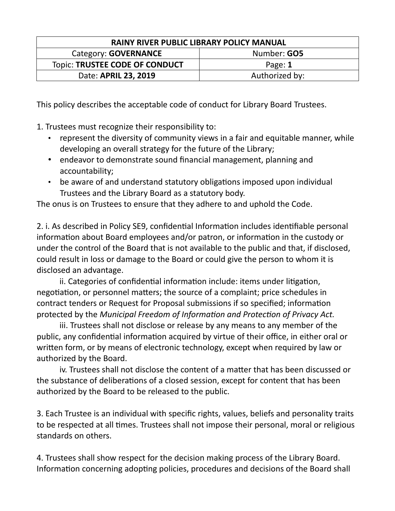| <b>RAINY RIVER PUBLIC LIBRARY POLICY MANUAL</b> |                |  |
|-------------------------------------------------|----------------|--|
| Category: GOVERNANCE                            | Number: GO5    |  |
| Topic: TRUSTEE CODE OF CONDUCT                  | Page: 1        |  |
| Date: <b>APRIL 23, 2019</b>                     | Authorized by: |  |

This policy describes the acceptable code of conduct for Library Board Trustees.

1. Trustees must recognize their responsibility to:

- represent the diversity of community views in a fair and equitable manner, while developing an overall strategy for the future of the Library;
- endeavor to demonstrate sound financial management, planning and accountability;
- be aware of and understand statutory obligations imposed upon individual Trustees and the Library Board as a statutory body.

The onus is on Trustees to ensure that they adhere to and uphold the Code.

2. i. As described in Policy SE9, confidential Information includes identifiable personal information about Board employees and/or patron, or information in the custody or under the control of the Board that is not available to the public and that, if disclosed, could result in loss or damage to the Board or could give the person to whom it is disclosed an advantage.

ii. Categories of confidential information include: items under litigation, negotiation, or personnel matters; the source of a complaint; price schedules in contract tenders or Request for Proposal submissions if so specified; information protected by the *Municipal Freedom of Information and Protection of Privacy Act.*

iii. Trustees shall not disclose or release by any means to any member of the public, any confidential information acquired by virtue of their office, in either oral or written form, or by means of electronic technology, except when required by law or authorized by the Board.

iv. Trustees shall not disclose the content of a matter that has been discussed or the substance of deliberations of a closed session, except for content that has been authorized by the Board to be released to the public.

3. Each Trustee is an individual with specific rights, values, beliefs and personality traits to be respected at all times. Trustees shall not impose their personal, moral or religious standards on others.

4. Trustees shall show respect for the decision making process of the Library Board. Information concerning adopting policies, procedures and decisions of the Board shall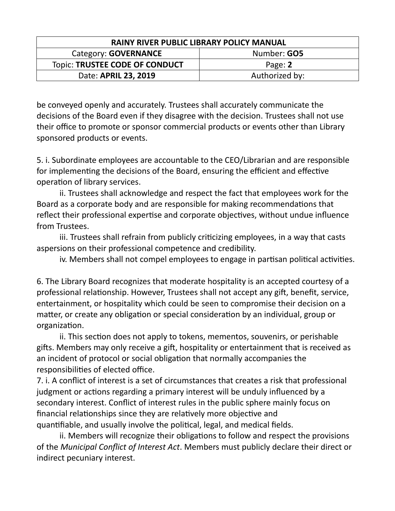| <b>RAINY RIVER PUBLIC LIBRARY POLICY MANUAL</b> |                    |  |
|-------------------------------------------------|--------------------|--|
| Category: <b>GOVERNANCE</b>                     | Number: <b>GO5</b> |  |
| <b>Topic: TRUSTEE CODE OF CONDUCT</b>           | Page: 2            |  |
| Date: APRIL 23, 2019                            | Authorized by:     |  |

be conveyed openly and accurately. Trustees shall accurately communicate the decisions of the Board even if they disagree with the decision. Trustees shall not use their office to promote or sponsor commercial products or events other than Library sponsored products or events.

5. i. Subordinate employees are accountable to the CEO/Librarian and are responsible for implementing the decisions of the Board, ensuring the efficient and effective operation of library services.

ii. Trustees shall acknowledge and respect the fact that employees work for the Board as a corporate body and are responsible for making recommendations that reflect their professional expertise and corporate objectives, without undue influence from Trustees.

iii. Trustees shall refrain from publicly criticizing employees, in a way that casts aspersions on their professional competence and credibility.

iv. Members shall not compel employees to engage in partisan political activities.

6. The Library Board recognizes that moderate hospitality is an accepted courtesy of a professional relationship. However, Trustees shall not accept any gift, benefit, service, entertainment, or hospitality which could be seen to compromise their decision on a matter, or create any obligation or special consideration by an individual, group or organization.

ii. This section does not apply to tokens, mementos, souvenirs, or perishable gifts. Members may only receive a gift, hospitality or entertainment that is received as an incident of protocol or social obligation that normally accompanies the responsibilities of elected office.

7. i. A conflict of interest is a set of circumstances that creates a risk that professional judgment or actions regarding a primary interest will be unduly influenced by a secondary interest. Conflict of interest rules in the public sphere mainly focus on financial relationships since they are relatively more objective and quantifiable, and usually involve the political, legal, and medical fields.

ii. Members will recognize their obligations to follow and respect the provisions of the *Municipal Conflict of Interest Act*. Members must publicly declare their direct or indirect pecuniary interest.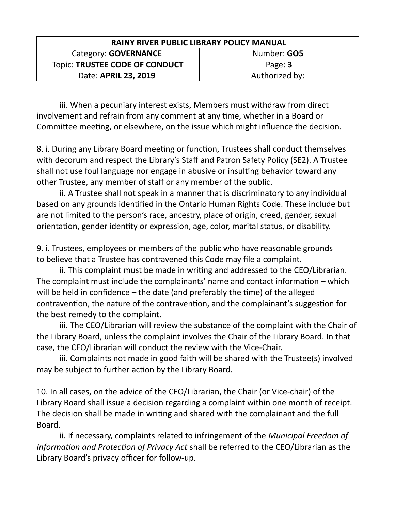| <b>RAINY RIVER PUBLIC LIBRARY POLICY MANUAL</b> |                    |  |
|-------------------------------------------------|--------------------|--|
| Category: <b>GOVERNANCE</b>                     | Number: <b>GO5</b> |  |
| Topic: TRUSTEE CODE OF CONDUCT                  | Page: 3            |  |
| Date: APRIL 23, 2019                            | Authorized by:     |  |

iii. When a pecuniary interest exists, Members must withdraw from direct involvement and refrain from any comment at any time, whether in a Board or Committee meeting, or elsewhere, on the issue which might influence the decision.

8. i. During any Library Board meeting or function, Trustees shall conduct themselves with decorum and respect the Library's Staff and Patron Safety Policy (SE2). A Trustee shall not use foul language nor engage in abusive or insulting behavior toward any other Trustee, any member of staff or any member of the public.

ii. A Trustee shall not speak in a manner that is discriminatory to any individual based on any grounds identified in the Ontario Human Rights Code. These include but are not limited to the person's race, ancestry, place of origin, creed, gender, sexual orientation, gender identity or expression, age, color, marital status, or disability.

9. i. Trustees, employees or members of the public who have reasonable grounds to believe that a Trustee has contravened this Code may file a complaint.

ii. This complaint must be made in writing and addressed to the CEO/Librarian. The complaint must include the complainants' name and contact information – which will be held in confidence – the date (and preferably the time) of the alleged contravention, the nature of the contravention, and the complainant's suggestion for the best remedy to the complaint.

iii. The CEO/Librarian will review the substance of the complaint with the Chair of the Library Board, unless the complaint involves the Chair of the Library Board. In that case, the CEO/Librarian will conduct the review with the Vice-Chair.

iii. Complaints not made in good faith will be shared with the Trustee(s) involved may be subject to further action by the Library Board.

10. In all cases, on the advice of the CEO/Librarian, the Chair (or Vice-chair) of the Library Board shall issue a decision regarding a complaint within one month of receipt. The decision shall be made in writing and shared with the complainant and the full Board.

ii. If necessary, complaints related to infringement of the *Municipal Freedom of Information and Protection of Privacy Act* shall be referred to the CEO/Librarian as the Library Board's privacy officer for follow-up.